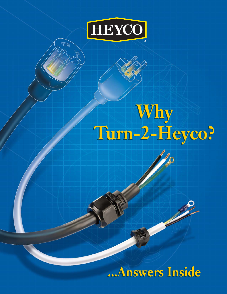

习

## **Why Turn-2-Heyco? Why Turn-2-Heyco?**

# **...Answers Inside ...Answers Inside**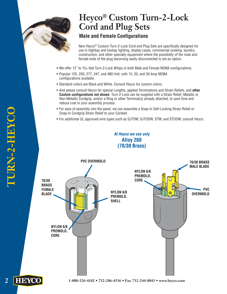

# **Heyco® Custom Turn-2-Lock Cord and Plug Sets**

## **Male and Female Configurations**

New Heyco® Custom Turn-2-Lock Cord and Plug Sets are specifically designed for use in highbay and lowbay lighting, display cases, commercial cooking, laundry, construction, and other specialty equipment where the possibility of the male and female ends of the plug becoming easily disconnected is not an option.

- We offer 12˝ to 15+ feet Turn-2-Lock Whips in both Male and Female NEMA configurations.
- Popular 125, 250, 277, 347, and 480 Volt; with 15, 20, and 30 Amp NEMA configurations available.
- Standard colors are Black and White. Consult Heyco for custom colors.
- And please consult Heyco for special Lengths, applied Terminations and Strain Reliefs, and **other Custom configurations not shown**. Turn-2-Lock can be supplied with a Strain Relief, Metallic or Non-Metallic Cordgrip, and/or a Ring or other Terminal(s) already attached, to save time and reduce cost in your assembly process.
- For ease of assembly into the panel, we can assemble a Snap-In Self-Locking Strain Relief or Snap-In Cordgrip Strain Relief to your Cordset.
- For additional UL approved wire types such as SJTOW, SJTOOW, STW, and STOOW, consult Heyco.

**At Heyco we use only Alloy 260 (70/30 Brass)**

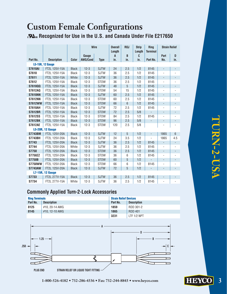## **Custom Female Configurations Recognized for Use in the U.S. and Canada Under File E217650**

|                         |                         |              | <b>Wire</b>     |             | <b>Overall</b><br>Length | R <sub>0</sub> J | <b>Strip</b><br>Length | <b>Ring</b><br><b>Terminal</b> | <b>Strain Relief</b>     |                              |
|-------------------------|-------------------------|--------------|-----------------|-------------|--------------------------|------------------|------------------------|--------------------------------|--------------------------|------------------------------|
|                         |                         |              | Gauge           |             | $\overline{A}$           | B                | C                      |                                | Part                     | D                            |
| Part No.                | <b>Description</b>      | Color        | <b>AWG/Cond</b> | <b>Type</b> | in.                      | in.              | in.                    | Part No.                       | No.                      | in.                          |
| <b>L5-15R, 12 Gauge</b> |                         |              |                 |             |                          |                  |                        |                                |                          |                              |
| <b>S7610AI</b>          | FT2L 125V-15A           | <b>Black</b> | $12 - 3$        | <b>SJTW</b> | 24                       | 2.5              | 1/2                    | 8145                           | $\overline{\phantom{a}}$ | $\qquad \qquad \blacksquare$ |
| S7610                   | FT2L 125V-15A           | <b>Black</b> | $12 - 3$        | <b>SJTW</b> | 36                       | 2.5              | 1/2                    | 8145                           | $\overline{a}$           |                              |
| S7611                   | FT2L 125V-15A           | White        | $12 - 3$        | <b>SJTW</b> | 36                       | 2.5              | 1/2                    | 8145                           | $\blacksquare$           | $\blacksquare$               |
| S7612                   | FT2L 125V-15A           | <b>Black</b> | $12 - 3$        | <b>STOW</b> | 36                       | 2.5              | 1/2                    | 8145                           | $\overline{\phantom{a}}$ | ÷,                           |
| <b>S7610QQ</b>          | FT2L 125V-15A           | <b>Black</b> | $12 - 3$        | <b>SJTW</b> | 48                       | 5                | 1/2                    | 8145                           | $\mathcal{L}$            | $\overline{\phantom{a}}$     |
| <b>S7612AQ</b>          | FT2L 125V-15A           | <b>Black</b> | $12 - 3$        | <b>STOW</b> | 54                       | 15               | 1/2                    | 8145                           | $\overline{\phantom{a}}$ |                              |
| <b>S7610NN</b>          | FT2L 125V-15A           | <b>Black</b> | $12 - 3$        | <b>SJTW</b> | 60                       | 2.5              | 1/2                    | 8145                           | $\overline{\phantom{a}}$ | $\overline{\phantom{0}}$     |
| <b>S7612NN</b>          | FT2L 125V-15A           | <b>Black</b> | $12 - 3$        | <b>STOW</b> | 60                       | 2.5              | 1/2                    | 8145                           | $\overline{a}$           |                              |
| <b>S7612WW</b>          | FT2L 125V-15A           | <b>Black</b> | $12-3$          | <b>STOW</b> | 66                       | $6\phantom{1}6$  | 1/2                    | 8145                           | $\frac{1}{2}$            | $\overline{\phantom{a}}$     |
| <b>S7610AH</b>          | FT2L 125V-15A           | <b>Black</b> | $12 - 3$        | <b>SJTW</b> | 72                       | 2.5              | 1/2                    | 8145                           | $\frac{1}{2}$            |                              |
| <b>S7612BR</b>          | FT2L 125V-15A           | <b>Black</b> | $12 - 3$        | <b>STOW</b> | 72                       | 2.5              | 5/8                    | $\overline{\phantom{0}}$       | $\overline{\phantom{a}}$ | $\overline{\phantom{a}}$     |
| <b>S7612SS</b>          | FT2L 125V-15A           | <b>Black</b> | $12 - 3$        | <b>STOW</b> | 84                       | 2.5              | 1/2                    | 8145                           | $\overline{a}$           |                              |
| <b>S7612BK</b>          | FT2L 125V-15A           | <b>Black</b> | $12 - 3$        | <b>STOW</b> | 96                       | 2.5              | 5/8                    | $\overline{\phantom{0}}$       | $\overline{\phantom{a}}$ | $\overline{\phantom{a}}$     |
| <b>S7612AE</b>          | FT2L 125V-15A           | <b>Black</b> | $12 - 3$        | <b>STOW</b> | 120                      | 2.5              | 5/8                    |                                | $\overline{\phantom{0}}$ | ÷                            |
|                         | <b>L5-20R, 12 Gauge</b> |              |                 |             |                          |                  |                        |                                |                          |                              |
| <b>S7743BM</b>          | FT2L 125V-20A           | <b>Black</b> | $12 - 3$        | <b>SJTW</b> | 12                       | 5                | 1/2                    | $\qquad \qquad \blacksquare$   | 1865                     | $6\phantom{1}$               |
| <b>S7743BH</b>          | FT2L 125V-20A           | <b>Black</b> | $12 - 3$        | <b>SJTW</b> | 24                       | 3.5              | 1/2                    | ÷,                             | 1865                     | 4.5                          |
| <b>S7743</b>            | FT2L 125V-20A           | <b>Black</b> | $12 - 3$        | <b>SJTW</b> | 36                       | 2.5              | 1/2                    | 8145                           | $\overline{\phantom{a}}$ | $\overline{\phantom{a}}$     |
| S7744                   | FT2L 125V-20A           | White        | $12 - 3$        | <b>SJTW</b> | 36                       | 2.5              | 1/2                    | 8145                           | -                        | ÷,                           |
| <b>S7750</b>            | FT2L 125V-20A           | <b>Black</b> | $12 - 3$        | <b>STOW</b> | 36                       | 2.5              | 1/2                    | 8145                           | $\overline{\phantom{a}}$ | $\overline{\phantom{a}}$     |
| <b>S7750ZZ</b>          | FT2L 125V-20A           | <b>Black</b> | $12 - 3$        | <b>STOW</b> | 36                       | 6                | 1/2                    | 8145                           | $\overline{a}$           |                              |
| <b>S7750B</b>           | FT2L 125V-20A           | <b>Black</b> | $12-3$          | <b>STOW</b> | 60                       | 5                | 1/2                    | $\overline{a}$                 | $\blacksquare$           | $\overline{\phantom{a}}$     |
| <b>S7750WW</b>          | FT2L 125V-20A           | <b>Black</b> | $12 - 3$        | <b>STOW</b> | 66                       | 6                | 1/2                    | 8145                           | $\overline{a}$           |                              |
| <b>S7743AW</b>          | FT2L 125V-20A           | <b>Black</b> | $12 - 3$        | <b>SJTW</b> | 72                       | 5                | 1/2                    | ÷,                             | $\overline{a}$           | $\overline{a}$               |
|                         | <b>L7-15R, 12 Gauge</b> |              |                 |             |                          |                  |                        |                                |                          |                              |
| <b>S7733</b>            | FT2L 277V-15A           | <b>Black</b> | $12 - 3$        | <b>SJTW</b> | 36                       | 2.5              | 1/2                    | 8145                           | $\overline{\phantom{a}}$ |                              |
| S7734                   | FT2L 277V-15A           | White        | $12 - 3$        | <b>SJTW</b> | 36                       | 2.5              | 1/2                    | 8145                           | -                        |                              |

## **Commonly Applied Turn-2-Lock Accessories**

| <b>Ring Terminals</b> |                    | <b>Strain Relief Devices</b> |                    |
|-----------------------|--------------------|------------------------------|--------------------|
| Part No.              | <b>Description</b> | Part No.                     | <b>Description</b> |
| 8125                  | #10, 20-14 AWG     | 1859                         | RDD 301-2          |
| 8145                  | #10, 12-10 AWG     | 1865                         | <b>RDD 401</b>     |
|                       |                    | 3231                         | LTF 1/2 NPT        |



**HEYCO**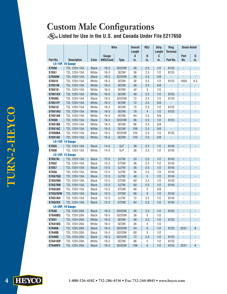## **Custom Male Configurations Listed for Use in the U.S. and Canada Under File E217650**

|                |                                         |                       | <b>Wire</b>      |                          | <b>Overall</b> | R <sub>0</sub> J<br><b>Strip</b><br><b>Ring</b> |             |                          | <b>Strain Relief</b>         |                          |
|----------------|-----------------------------------------|-----------------------|------------------|--------------------------|----------------|-------------------------------------------------|-------------|--------------------------|------------------------------|--------------------------|
|                |                                         |                       | Gauge            |                          | Length<br>A    | B                                               | Length<br>C | <b>Terminal</b>          | Part                         | D                        |
| Part No.       | <b>Description</b>                      | <b>Color</b>          | <b>AWG/Cond</b>  | <b>Type</b>              | in.            | in.                                             | in.         | Part No.                 | No.                          | in.                      |
|                | <b>L5-15P, 16 Gauge</b>                 |                       |                  |                          |                |                                                 |             |                          |                              |                          |
| <b>S7650</b>   | T2L 125V-15A                            | <b>Black</b>          | $16 - 3$         | <b>SEOOW</b>             | 36             | 2.5                                             | 1/2         | 8125                     | $\overline{\phantom{a}}$     | $\overline{\phantom{a}}$ |
| S7651          | T2L 125V-15A                            | White                 | $16 - 3$         | <b>SEOW</b>              | 36             | 2.5                                             | 1/2         | 8125                     |                              |                          |
| <b>S7650W</b>  | T2L 125V-15A                            | <b>Black</b>          | $16 - 3$         | <b>SEOOW</b>             | 36             | 2.5                                             | 5/8         | $\overline{\phantom{a}}$ | $\blacksquare$               | $\overline{\phantom{a}}$ |
| S7651E         | T2L 125V-15A                            | White                 | $16 - 3$         | SEOW                     | 36             | 5.5                                             | 1/2         | 8125                     | 1859                         | 6.5                      |
| <b>S7651W</b>  | T2L 125V-15A                            | White                 | $16 - 3$         | <b>SEOW</b>              | 36             | 2.5                                             | 5/8         | $\overline{\phantom{a}}$ | $\overline{\phantom{a}}$     | $\overline{\phantom{a}}$ |
| <b>S7651D</b>  | T2L 125V-15A                            | White                 | $16 - 3$         | SEOW                     | 42             | 3                                               | 1/2         | L.                       |                              |                          |
| <b>S7651XX</b> | T2L 125V-15A                            | White                 | $16 - 3$         | <b>SEOW</b>              | 48             | 2.5                                             | 1/2         | 8125                     | $\blacksquare$               | $\overline{\phantom{0}}$ |
| <b>S7650G</b>  | T2L 125V-15A                            | <b>Black</b>          | $16 - 3$         | <b>SEOOW</b>             | 72             | 2.5                                             | 1/2         | 8125                     | ÷,                           | $\frac{1}{2}$            |
| <b>S7651FF</b> | T2L 125V-15A                            | White                 | $16 - 3$         | <b>SEOW</b>              | 72             | 2.5                                             | 5/8         | $\overline{\phantom{0}}$ | $\overline{\phantom{0}}$     | $\overline{\phantom{a}}$ |
| S7651G         | T2L 125V-15A                            | White                 | $16 - 3$         | <b>SEOW</b>              | 72             | 2.5                                             | 1/2         | 8125                     | ÷,                           | $\frac{1}{2}$            |
| <b>S7651AU</b> | T2L 125V-15A                            | White                 | $16 - 3$         | <b>SEOW</b>              | 78             | $\overline{4}$                                  | 1/2         | 8125                     | $\overline{\phantom{0}}$     | $\blacksquare$           |
| <b>S7651AB</b> | T2L 125V-15A                            | White                 | $16 - 3$         | SEOW                     | 84             | 2.5                                             | 5/8         |                          |                              |                          |
| <b>S76501</b>  | T2L 125V-15A                            | <b>Black</b>          | $16 - 3$         | <b>SEOOW</b>             | 96             | 2.5                                             | 1/2         | 8125                     | $\overline{\phantom{0}}$     | $\overline{\phantom{0}}$ |
| <b>S7651BK</b> | T2L 125V-15A                            | White                 | $16 - 3$         | SEOW                     | 96             | 2.5                                             | 5/8         |                          | $\overline{a}$               |                          |
| <b>S7651AC</b> | T2L 125V-15A                            | White                 | $16 - 3$         | <b>SEOW</b>              | 108            | 2.5                                             | 5/8         |                          | ÷,                           | $\overline{a}$           |
| <b>S7650BA</b> | T2L 125V-15A                            | <b>Black</b>          | $16 - 3$         | <b>SEOOW</b>             | 120            | 2.5                                             | 1/2         | 8125                     |                              |                          |
| <b>S7651AE</b> | T2L 125V-15A                            | White                 | $16 - 3$         | <b>SEOW</b>              | 120            | 2.5                                             | 5/8         |                          |                              |                          |
|                | <b>L5-15P, 14 Gauge</b><br>T2L 125V-15A |                       |                  |                          |                |                                                 |             |                          | $\overline{\phantom{a}}$     |                          |
| S7655<br>S7656 | T2L 125V-15A                            | <b>Black</b><br>White | $14-3$<br>$14-3$ | <b>SJT</b><br><b>SJT</b> | 36<br>36       | 2.5<br>2.5                                      | 1/2<br>1/2  | 8145<br>8145             |                              |                          |
|                | <b>L5-15P, 12 Gauge</b>                 |                       |                  |                          |                |                                                 |             |                          |                              |                          |
| <b>S7657AI</b> | T2L 125V-15A                            | <b>Black</b>          | $12 - 3$         | <b>SJTW</b>              | 24             | 2.5                                             | 1/2         | 8145                     | $\qquad \qquad \blacksquare$ |                          |
| S7652          | T2L 125V-15A                            | <b>Black</b>          | $12 - 3$         | <b>STOW</b>              | 36             | 2.5                                             | 1/2         | 8145                     |                              |                          |
| <b>S7657</b>   | T2L 125V-15A                            | <b>Black</b>          | $12 - 3$         | <b>SJTW</b>              | 36             | 2.5                                             | 1/2         | 8145                     | $\qquad \qquad \blacksquare$ | $\blacksquare$           |
| S7658          | T2L 125V-15A                            | White                 | $12 - 3$         | <b>SJTW</b>              | 36             | 2.5                                             | 1/2         | 8145                     |                              |                          |
| <b>S7657QQ</b> | T2L 125V-15A                            | <b>Black</b>          | $12 - 3$         | <b>SJTW</b>              | 48             | 5                                               | 1/2         | 8145                     | $\overline{\phantom{a}}$     | $\overline{\phantom{a}}$ |
| <b>S7652NN</b> | T2L 125V-15A                            | <b>Black</b>          | $12 - 3$         | <b>STOW</b>              | 60             | 2.5                                             | 1/2         | 8145                     | $\overline{a}$               |                          |
| <b>S7657NN</b> | T2L 125V-15A                            | <b>Black</b>          | $12 - 3$         | <b>SJTW</b>              | 60             | 2.5                                             | 1/2         | 8145                     | $\blacksquare$               | $\overline{\phantom{a}}$ |
| <b>S7652AD</b> | T2L 125V-15A                            | <b>Black</b>          | $12 - 3$         | <b>STOW</b>              | 66             | $\overline{c}$                                  | 5/8         |                          |                              |                          |
| <b>S7652WW</b> | T2L 125V-15A                            | <b>Black</b>          | $12 - 3$         | <b>STOW</b>              | 66             | 6                                               | 1/2         | 8145                     | ÷,                           |                          |
| <b>S7657AH</b> | T2L 125V-15A                            | <b>Black</b>          | $12 - 3$         | SJTW                     | 72             | 2.5                                             | 1/2         | 8145                     |                              |                          |
| <b>S7652SS</b> | T2L 125V-15A                            | <b>Black</b>          | $12 - 3$         | <b>STOW</b>              | 84             | 2.5                                             | 1/2         | 8145                     |                              |                          |
|                | <b>L5-20P, 16 Gauge</b>                 |                       |                  |                          |                |                                                 |             |                          |                              |                          |
| <b>S7640</b>   | T2L 125V-20A   Black                    |                       | $16 - 3$         | $ $ SEOOW $ $            | 36             | $2.5$                                           |             | $1/2$ 8125               | $\qquad \qquad \blacksquare$ |                          |
| <b>S7640BQ</b> | T2L 125V-20A                            | <b>Black</b>          | $16 - 3$         | <b>SEOOW</b>             | 36             | 5                                               | 1/2         |                          |                              |                          |
| S7641          | T2L 125V-20A                            | White                 | $16 - 3$         | SEOW                     | 36             | 2.5                                             | 1/2         | 8125                     | $\overline{\phantom{a}}$     | $\overline{\phantom{0}}$ |
| S7641BQ        | T2L 125V-20A                            | White                 | $16 - 3$         | SEOW                     | 36             | 5                                               | 1/2         |                          |                              |                          |
| <b>S7640A</b>  | T2L 125V-20A                            | <b>Black</b>          | $16 - 3$         | <b>SEOOW</b>             | 54             | 6                                               | 1/2         | 8125                     | 3231                         | 8                        |
| <b>S7640B</b>  | T2L 125V-20A                            | <b>Black</b>          | $16 - 3$         | <b>SEOOW</b>             | 60             | 5                                               | 1/2         |                          |                              |                          |
| <b>S7640G</b>  | T2L 125V-20A                            | <b>Black</b>          | $16 - 3$         | <b>SEOOW</b>             | 72             | 2.5                                             | 1/2         | 8125                     | $\overline{\phantom{m}}$     |                          |
| <b>S7641RR</b> | T2L 125V-20A                            | White                 | $16 - 3$         | SEOW                     | 96             | 5                                               | 1/2         | 8125                     |                              |                          |
| <b>S7640VV</b> | T2L 125V-20A                            | <b>Black</b>          | $16 - 3$         | <b>SEOOW</b>             | 108            | 6                                               | 1/2         | 8125                     | 3231                         | 8                        |

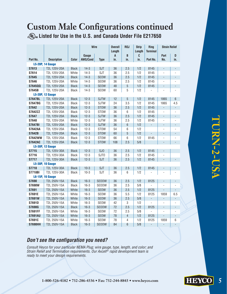## **Custom Male Configurations continued**

**Listed for Use in the U.S. and Canada Under File E217650**

|                |                         |              | <b>Wire</b> |                 | <b>Overall</b><br>Length | R <sub>0</sub> J | <b>Strip</b><br>Length | Ring<br><b>Terminal</b> | <b>Strain Relief</b>     |                          |
|----------------|-------------------------|--------------|-------------|-----------------|--------------------------|------------------|------------------------|-------------------------|--------------------------|--------------------------|
|                |                         |              | Gauge       |                 | A                        | B                | C                      |                         | Part                     | D                        |
| Part No.       | <b>Description</b>      | Color        | AWG/Cond    | <b>Type</b>     | in.                      | in.              | in.                    | Part No.                | No.                      | in.                      |
|                | <b>L5-20P, 14 Gauge</b> |              |             |                 |                          |                  |                        |                         |                          |                          |
| S7613          | T2L 125V-20A            | <b>Black</b> | $14-3$      | <b>SJT</b>      | 36                       | 2.5              | 1/2                    | 8145                    | $\overline{a}$           |                          |
| S7614          | T2L 125V-20A            | White        | $14-3$      | <b>SJT</b>      | 36                       | 2.5              | 1/2                    | 8145                    |                          |                          |
| S7645          | T2L 125V-20A            | <b>Black</b> | $14-3$      | <b>SEOW</b>     | 36                       | 2.5              | 1/2                    | 8145                    | $\overline{a}$           | $\overline{a}$           |
| S7646          | T2L 125V-20A            | White        | $14-3$      | <b>SEOW</b>     | 36                       | 2.5              | 1/2                    | 8145                    | $\overline{a}$           |                          |
| S764500        | T2L 125V-20A            | <b>Black</b> | $14-3$      | <b>SEOW</b>     | 48                       | $\overline{5}$   | 1/2                    | 8145                    | $\overline{a}$           | $\overline{a}$           |
| S7645B         | T2L 125V-20A            | <b>Black</b> | $14-3$      | SEOW            | 60                       | 5                | 1/2                    |                         |                          |                          |
|                | <b>L5-20P, 12 Gauge</b> |              |             |                 |                          |                  |                        |                         |                          |                          |
| <b>S7647BL</b> | T2L 125V-20A            | <b>Black</b> | $12 - 3$    | <b>SJTW</b>     | 12                       | 5                | 1/2                    | 8145                    | 1865                     | 6                        |
| <b>S7647BG</b> | T2L 125V-20A            | <b>Black</b> | $12 - 3$    | <b>SJTW</b>     | 24                       | 3.5              | 1/2                    | 8145                    | 1865                     | 4.5                      |
| S7642          | T2L 125V-20A            | <b>Black</b> | $12 - 3$    | <b>STOW</b>     | 36                       | 2.5              | 1/2                    | 8145                    | $\overline{\phantom{a}}$ | $\blacksquare$           |
| S7642ZZ        | T2L 125V-20A            | <b>Black</b> | $12 - 3$    | <b>STOW</b>     | 36                       | 6                | 1/2                    | 8145                    | $\overline{a}$           | $\overline{a}$           |
| S7647          | T2L 125V-20A            | <b>Black</b> | $12 - 3$    | <b>SJTW</b>     | 36                       | 2.5              | 1/2                    | 8145                    | $\overline{\phantom{a}}$ | $\overline{\phantom{0}}$ |
| <b>S7648</b>   | T2L 125V-20A            | White        | $12 - 3$    | <b>SJTW</b>     | 36                       | 2.5              | 1/2                    | 8145                    | $\overline{a}$           | $\overline{a}$           |
| <b>S7647BI</b> | T2L 125V-20A            | <b>Black</b> | $12 - 3$    | <b>SJTW</b>     | 36                       | $\,6$            | 1/2                    | $\frac{1}{2}$           | $\frac{1}{2}$            | $\overline{a}$           |
| <b>S7642AA</b> | T2L 125V-20A            | <b>Black</b> | $12 - 3$    | <b>STOW</b>     | 54                       | 6                | 1/2                    |                         | $\overline{a}$           |                          |
| <b>S7642B</b>  | T2L 125V-20A            | <b>Black</b> | $12 - 3$    | <b>STOW</b>     | 60                       | 5                | 1/2                    | $\overline{a}$          | $\frac{1}{2}$            | $\overline{a}$           |
| <b>S7642WW</b> | T2L 125V-20A            | <b>Black</b> | $12 - 3$    | STOW            | 66                       | 6                | 1/2                    | 8145                    | $\overline{a}$           |                          |
| <b>S7642AC</b> | T2L 125V-20A            | <b>Black</b> | $12 - 3$    | <b>STOW</b>     | 108                      | 2.5              | 5/8                    |                         | $\overline{a}$           | $\overline{a}$           |
|                | <b>L5-30P, 12 Gauge</b> |              |             |                 |                          |                  |                        |                         |                          |                          |
| <b>S7715</b>   | T2L 125V-30A            | <b>Black</b> | $12-3$      | SJ <sub>0</sub> | 36                       | 2.5              | 1/2                    | 8145                    | $\overline{a}$           |                          |
| S7716          | T2L 125V-30A            | <b>Black</b> | $12 - 3$    | SJT0            | 36                       | 2.5              | 1/2                    | 8145                    | $\overline{a}$           |                          |
| <b>S7717</b>   | T2L 125V-30A            | <b>Black</b> | $12 - 3$    | <b>SJT</b>      | 36                       | 2.5              | 1/2                    | 8145                    | $\overline{a}$           | $\overline{a}$           |
|                | <b>L5-30P, 10 Gauge</b> |              |             |                 |                          |                  |                        |                         |                          |                          |
| <b>S7718</b>   | T2L 125V-30A            | <b>Black</b> | $10-3$      | <b>SJT</b>      | 36                       | 2.5              | 1/2                    | 8145                    |                          | L,                       |
| <b>S7718BI</b> | T2L 125V-30A            | <b>Black</b> | $10-3$      | <b>SJT</b>      | 36                       | 6                | 1/2                    |                         |                          |                          |
|                | <b>L6-15P, 16 Gauge</b> |              |             |                 |                          |                  |                        |                         |                          |                          |
| <b>S7690</b>   | T2L 250V-15A            | <b>Black</b> | $16 - 3$    | <b>SEOOW</b>    | 36                       | 2.5              | 1/2                    | 8125                    | $\frac{1}{2}$            |                          |
| <b>S7690W</b>  | T2L 250V-15A            | <b>Black</b> | $16 - 3$    | <b>SEOOW</b>    | 36                       | 2.5              | 5/8                    |                         | $\overline{a}$           |                          |
| S7691          | T2L 250V-15A            | White        | $16 - 3$    | <b>SEOW</b>     | 36                       | 2.5              | 1/2                    | 8125                    | $\overline{a}$           | ÷,                       |
| S7691E         | T2L 250V-15A            | White        | $16 - 3$    | SEOW            | 36                       | 5.5              | 1/2                    | 8125                    | 1859                     | 6.5                      |
| <b>S7691W</b>  | T2L 250V-15A            | White        | $16 - 3$    | <b>SEOW</b>     | 36                       | 2.5              | 5/8                    | $\frac{1}{2}$           | $\overline{a}$           | $\frac{1}{2}$            |
| S7691D         | T2L 250V-15A            | White        | $16 - 3$    | SEOW            | 42                       | 3                | 1/2                    | $\overline{a}$          | $\overline{a}$           |                          |
| <b>S7690G</b>  | T2L 250V-15A            | <b>Black</b> | $16 - 3$    | <b>SEOOW</b>    | 72                       | 2.5              | 1/2                    | 8125                    | $\overline{a}$           | $\overline{a}$           |
| <b>S7691FF</b> | T2L 250V-15A            | White        | $16 - 3$    | SEOW            | 72                       | 2.5              | 5/8                    |                         | $\overline{a}$           |                          |
| <b>S7691AU</b> | T2L 250V-15A            | White        | $16 - 3$    | <b>SEOW</b>     | 78                       | $\overline{4}$   | 1/2                    | 8125                    | $\overline{a}$           | $\overline{a}$           |
| S7691C         | T2L 250V-15A            | White        | $16 - 3$    | SEOW            | 78                       | 4                | 1/2                    | 8125                    | 1859                     | 6                        |
| <b>S7690HH</b> | T2L 250V-15A            | <b>Black</b> | $16 - 3$    | <b>SEOOW</b>    | 84                       | 6                | 5/8                    | $\overline{a}$          | ÷,                       | $\overline{a}$           |

#### **Don't see the configuration you need?**

Consult Heyco for your particular NEMA Plug; wire gauge, type, length, and color; and Strain Relief and Termination requirements. Our Axcell<sup>®</sup> rapid development team is ready to meet your design requirements.

**HEYCO**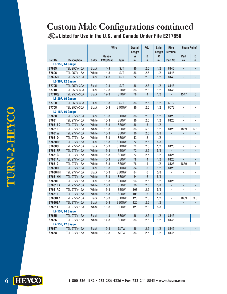# **Custom Male Configurations continued**

**Listed for Use in the U.S. and Canada Under File E217650**

|                |                         |              | <b>Wire</b> |              | <b>Overall</b> | R <sub>0</sub> J | <b>Strip</b><br>Ring<br>Length<br><b>Terminal</b> |                          | <b>Strain Relief</b> |                          |  |
|----------------|-------------------------|--------------|-------------|--------------|----------------|------------------|---------------------------------------------------|--------------------------|----------------------|--------------------------|--|
|                |                         |              | Gauge       |              | Length<br>A    | B                | C                                                 |                          | Part                 | D                        |  |
| Part No.       | <b>Description</b>      | Color        | AWG/Cond    | <b>Type</b>  | in.            | in.              | in.                                               | Part No.                 | No.                  | in.                      |  |
|                | <b>L6-15P, 14 Gauge</b> |              |             |              |                |                  |                                                   |                          |                      |                          |  |
| S7695          | T2L 250V-15A            | <b>Black</b> | $14-3$      | <b>SJT</b>   | 36             | 2.5              | 1/2                                               | 8145                     | ÷,                   |                          |  |
| <b>S7696</b>   | T2L 250V-15A            | White        | $14-3$      | <b>SJT</b>   | 36             | 2.5              | 1/2                                               | 8145                     |                      |                          |  |
| <b>S7695G</b>  | T2L 250V-15A            | <b>Black</b> | $14-3$      | <b>SJT</b>   | 72             | 2.5              | 1/2                                               | 8145                     |                      |                          |  |
|                | <b>L6-30P, 12 Gauge</b> |              |             |              |                |                  |                                                   |                          |                      |                          |  |
| <b>S7705</b>   | T2L 250V-30A            | <b>Black</b> | $12 - 3$    | <b>SJT</b>   | 36             | 2.5              | 1/2                                               | 8145                     | L,                   | $\overline{a}$           |  |
| <b>S7710</b>   | T2L 250V-30A            | <b>Black</b> | $12 - 3$    | <b>STOW</b>  | 36             | 2.5              | 1/2                                               | 8145                     |                      |                          |  |
| <b>S7710Q</b>  | T2L 250V-30A            | Black        | $12 - 3$    | <b>STOW</b>  | 78             | $\overline{4}$   | 1/2                                               | ÷,                       | 4547                 | 5                        |  |
|                | <b>L6-30P, 10 Gauge</b> |              |             |              |                |                  |                                                   |                          |                      |                          |  |
| <b>S7700</b>   | T2L 250V-30A            | <b>Black</b> | $10-3$      | <b>SJT</b>   | 36             | 2.5              | 1/2                                               | 6072                     |                      |                          |  |
| <b>S7708</b>   | T2L 250V-30A            | Black        | $10-3$      | <b>STOOW</b> | 36             | 2.5              | 1/2                                               | 6072                     |                      |                          |  |
|                | <b>L7-15P, 16 Gauge</b> |              |             |              |                |                  |                                                   |                          |                      |                          |  |
| <b>S7630</b>   | T2L 277V-15A            | <b>Black</b> | $16-3$      | <b>SEOOW</b> | 36             | 2.5              | 1/2                                               | 8125                     | $\frac{1}{2}$        |                          |  |
| S7631          | T2L 277V-15A            | White        | $16-3$      | SEOW         | 36             | 2.5              | 1/2                                               | 8125                     |                      |                          |  |
| <b>S7631BQ</b> | T2L 277V-15A            | White        | $16 - 3$    | <b>SEOW</b>  | 36             | 5                | 1/2                                               |                          |                      |                          |  |
| S7631E         | T2L 277V-15A            | White        | $16 - 3$    | SEOW         | 36             | 5.5              | 1/2                                               | 8125                     | 1859                 | 6.5                      |  |
| <b>S7631W</b>  | T2L 277V-15A            | White        | $16 - 3$    | <b>SEOW</b>  | 36             | 2.5              | 5/8                                               | $\Box$                   |                      | ÷,                       |  |
| <b>S7631D</b>  | T2L 277V-15A            | White        | $16 - 3$    | <b>SEOW</b>  | 42             | $\,3$            | 1/2                                               | $\overline{a}$           | $\overline{a}$       | $\overline{a}$           |  |
| <b>S7630FF</b> | T2L 277V-15A            | <b>Black</b> | $16 - 3$    | <b>SEOOW</b> | 72             | 2.5              | 5/8                                               | $\blacksquare$           | L,                   | $\overline{a}$           |  |
| <b>S7630G</b>  | T2L 277V-15A            | <b>Black</b> | $16 - 3$    | <b>SEOOW</b> | 72             | 2.5              | 1/2                                               | 8125                     | $\overline{a}$       | ÷,                       |  |
| <b>S7631FF</b> | T2L 277V-15A            | White        | $16 - 3$    | <b>SEOW</b>  | 72             | 2.5              | 5/8                                               | L,                       | ÷,                   | $\overline{a}$           |  |
| S7631G         | T2L 277V-15A            | White        | $16-3$      | SEOW         | 72             | 2.5              | 1/2                                               | 8125                     |                      |                          |  |
| <b>S7631AU</b> | T2L 277V-15A            | White        | $16 - 3$    | <b>SEOW</b>  | 78             | $\overline{4}$   | 1/2                                               | 8125                     |                      | $\overline{\phantom{0}}$ |  |
| S7631C         | T2L 277V-15A            | White        | $16 - 3$    | <b>SEOW</b>  | 78             | $\overline{4}$   | 1/2                                               | 8125                     | 1859                 | 6                        |  |
| <b>S7630H</b>  | T2L 277V-15A            | <b>Black</b> | $16 - 3$    | <b>SEOOW</b> | 84             | 3                | 1/2                                               | 8125                     | L,                   | $\overline{a}$           |  |
| <b>S7630HH</b> | T2L 277V-15A            | <b>Black</b> | $16 - 3$    | <b>SEOOW</b> | 84             | 6                | 5/8                                               | $\overline{a}$           |                      | ÷,                       |  |
| <b>S7631HH</b> | T2L 277V-15A            | White        | $16 - 3$    | <b>SEOW</b>  | 84             | $6\,$            | 5/8                                               |                          | $\overline{a}$       | $\overline{a}$           |  |
| <b>S76301</b>  | T2L 277V-15A            | <b>Black</b> | $16 - 3$    | <b>SEOOW</b> | 96             | 2.5              | 1/2                                               | 8125                     |                      |                          |  |
| <b>S7631BK</b> | T2L 277V-15A            | White        | $16 - 3$    | <b>SEOW</b>  | 96             | 2.5              | 5/8                                               | $\overline{\phantom{a}}$ |                      |                          |  |
| <b>S7631AC</b> | T2L 277V-15A            | White        | $16 - 3$    | SEOW         | 108            | 2.5              | 5/8                                               | $\overline{a}$           | L,                   | $\overline{a}$           |  |
| S7631J         | T2L 277V-15A            | White        | $16 - 3$    | <b>SEOW</b>  | 108            | $6\phantom{a}$   | 5/8                                               | $\frac{1}{2}$            | $\overline{a}$       | $\overline{a}$           |  |
| <b>S7630AZ</b> | T2L 277V-15A            | <b>Black</b> | $16 - 3$    | <b>SEOOW</b> | 120            | 2.5              | 1/2                                               | $\frac{1}{2}$            | 1859                 | 3.5                      |  |
| <b>S7630BA</b> | T2L 277V-15A            | <b>Black</b> | $16 - 3$    | <b>SEOOW</b> | 120            | 2.5              | 1/2                                               |                          | L,                   | $\overline{a}$           |  |
| <b>S7631AE</b> | T2L 277V-15A            | White        | $16 - 3$    | SEOW         | 120            | 2.5              | 5/8                                               |                          |                      |                          |  |
|                | <b>L7-15P, 14 Gauge</b> |              |             |              |                |                  |                                                   |                          |                      |                          |  |
| <b>S7635</b>   | T2L 277V-15A            | <b>Black</b> | $14-3$      | <b>SEOW</b>  | 36             | 2.5              | 1/2                                               | 8145                     |                      |                          |  |
| <b>S7636</b>   | T2L 277V-15A            | White        | $14-3$      | SEOW         | 36             | 2.5              | 1/2                                               | 8145                     |                      |                          |  |
|                | <b>L7-15P, 12 Gauge</b> |              |             |              |                |                  |                                                   |                          |                      |                          |  |
| S7637          | T2L 277V-15A            | <b>Black</b> | $12 - 3$    | <b>SJTW</b>  | 36             | 2.5              | 1/2                                               | 8145                     |                      |                          |  |
| S7638          | T2L 277V-15A            | White        | $12-3$      | <b>SJTW</b>  | 36             | 2.5              | 1/2                                               | 8145                     | $\overline{a}$       |                          |  |

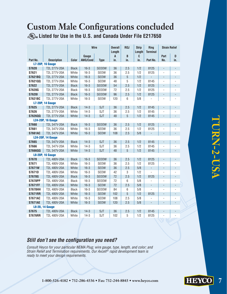## **Custom Male Configurations concluded**

**Listed for Use in the U.S. and Canada Under File E217650**

| <b>Wire</b><br><b>Overall</b><br>R <sub>0</sub> J<br><b>Strip</b>                                                                                                         | Ring            | <b>Strain Relief</b>             |                                            |
|---------------------------------------------------------------------------------------------------------------------------------------------------------------------------|-----------------|----------------------------------|--------------------------------------------|
| Length<br>Length<br>B<br>C                                                                                                                                                | <b>Terminal</b> | Part                             | D                                          |
| Gauge<br>A<br>Part No.<br><b>Description</b><br><b>Color</b><br><b>AWG/Cond</b><br><b>Type</b><br>in.<br>in.<br>in.                                                       | Part No.        | No.                              | in.                                        |
| <b>L7-20P, 16 Gauge</b>                                                                                                                                                   |                 |                                  |                                            |
| <b>S7620</b><br>$16 - 3$<br>36<br>2.5<br>1/2<br>T2L 277V-20A<br><b>Black</b><br><b>SEOOW</b>                                                                              | 8125            | $\blacksquare$                   | $\blacksquare$                             |
| S7621<br>$16-3$<br>36<br>2.5<br>1/2<br>T2L 277V-20A<br>White<br>SEOW                                                                                                      | 8125            | $\overline{a}$                   |                                            |
| $16 - 3$<br>5<br>1/2<br><b>S7621BQ</b><br>T2L 277V-20A<br>White<br><b>SEOW</b><br>36                                                                                      | $\blacksquare$  | L.                               | $\overline{\phantom{a}}$                   |
| 5<br>S7621QQ<br>T2L 277V-20A<br>White<br>$16 - 3$<br>48<br>1/2<br>SEOW                                                                                                    | 8145            | $\overline{a}$                   | $\overline{a}$                             |
| $16 - 3$<br>54<br>2.5<br>1/2<br><b>S7622</b><br>T2L 277V-20A<br><b>Black</b><br><b>SEOOW</b>                                                                              | 8125            | ÷,                               | $\blacksquare$                             |
| <b>S7620G</b><br>T2L 277V-20A<br><b>Black</b><br>$16 - 3$<br><b>SEOOW</b><br>72<br>2.5<br>1/2                                                                             | 8125            | $\overline{a}$                   |                                            |
| $16 - 3$<br>96<br>2.5<br>1/2<br><b>S76201</b><br>T2L 277V-20A<br><b>Black</b><br><b>SEOOW</b>                                                                             | 8125            | ÷,                               | $\overline{\phantom{a}}$                   |
| 6<br>5/8<br><b>S7621BC</b><br>T2L 277V-20A<br>White<br>$16 - 3$<br><b>SEOW</b><br>120                                                                                     |                 |                                  |                                            |
| <b>L7-20P. 14 Gauge</b>                                                                                                                                                   |                 |                                  |                                            |
| <b>S7625</b><br>T2L 277V-20A<br>$14-3$<br><b>SJT</b><br>36<br>2.5<br>1/2<br><b>Black</b>                                                                                  | 8145            | ÷,                               | $\overline{\phantom{a}}$                   |
| $14-3$<br><b>SJT</b><br>36<br>1/2<br><b>S7626</b><br>T2L 277V-20A<br>White<br>2.5                                                                                         | 8145            | $\overline{a}$                   |                                            |
| $14-3$<br><b>SJT</b><br>5<br>1/2<br><b>S7626QQ</b><br>T2L 277V-20A<br>White<br>48                                                                                         | 8145            | L,                               | $\overline{a}$                             |
| <b>L24-20P, 16 Gauge</b>                                                                                                                                                  |                 |                                  |                                            |
| <b>S7660</b><br>$16 - 3$<br><b>SEOOW</b><br>2.5<br>1/2<br>T2L 347V-20A<br><b>Black</b><br>36                                                                              | 8125            | $\overline{\phantom{0}}$         | $\blacksquare$                             |
| S7661<br>White<br>$16 - 3$<br>SEOW<br>36<br>2.5<br>1/2<br>T2L 347V-20A                                                                                                    | 8125            | $\overline{a}$                   |                                            |
| <b>S7661AC</b><br>T2L 347V-20A<br>White<br>$16 - 3$<br>108<br>2.5<br>5/8<br><b>SEOW</b>                                                                                   | ÷,              | $\Box$                           | $\blacksquare$                             |
| <b>L24-20P, 14 Gauge</b>                                                                                                                                                  |                 |                                  |                                            |
| <b>S7665</b><br>$14-3$<br><b>SJT</b><br>2.5<br>1/2<br>T2L 347V-20A<br><b>Black</b><br>36                                                                                  | 8145            | L,                               | $\overline{a}$                             |
| 36<br>1/2<br><b>S7666</b><br>T2L 347V-20A<br>White<br>$14-3$<br><b>SJT</b><br>2.5                                                                                         | 8145            | $\overline{a}$                   | L,                                         |
| 5<br>T2L 347V-20A<br>$14-3$<br><b>SJT</b><br>48<br>1/2<br><b>S7666QQ</b><br>White                                                                                         | 8145            | L,                               | $\frac{1}{2}$                              |
| <b>L8-20P, 16 Gauge</b>                                                                                                                                                   |                 |                                  |                                            |
| <b>S7670</b><br>$16 - 3$<br><b>SEOOW</b><br>2.5<br>1/2<br>T2L 480V-20A<br><b>Black</b><br>36                                                                              | 8125            | $\overline{\phantom{0}}$         | $\overline{\phantom{a}}$                   |
| S7671<br>White<br>$16 - 3$<br>SEOW<br>36<br>2.5<br>1/2<br>T2L 480V-20A                                                                                                    | 8125            | $\overline{a}$                   |                                            |
| <b>S7671W</b><br>White<br>$16 - 3$<br><b>SEOW</b><br>36<br>2.5<br>5/8<br>T2L 480V-20A                                                                                     | ÷,              | $\frac{1}{2}$                    | $\overline{a}$                             |
| $\overline{3}$<br><b>S7671D</b><br>T2L 480V-20A<br>White<br>$16 - 3$<br>SEOW<br>42<br>1/2                                                                                 |                 | ÷,                               |                                            |
| T2L 480V-20A<br>$16 - 3$<br>72<br>2.5<br>1/2<br><b>S7670G</b><br><b>Black</b><br><b>SEOOW</b>                                                                             | 8125            | ÷,                               | $\blacksquare$                             |
| $16 - 3$<br>72<br>$6\,$<br>5/8<br><b>S7670PP</b><br>T2L 480V-20A<br><b>Black</b><br><b>SEOOW</b>                                                                          | $\overline{a}$  | $\overline{a}$                   | $\overline{a}$                             |
| 72<br>T2L 480V-20A<br>White<br>$16 - 3$<br>2.5<br>5/8<br><b>S7671FF</b><br><b>SEOW</b>                                                                                    | L.              | $\overline{a}$                   | $\frac{1}{2}$                              |
| T2L 480V-20A<br>$16 - 3$<br><b>SEOOW</b><br>84<br>6<br>5/8<br><b>S7670HH</b><br><b>Black</b>                                                                              |                 | $\overline{a}$<br>$\overline{a}$ |                                            |
| 5<br><b>S7671RR</b><br>T2L 480V-20A<br>White<br>$16 - 3$<br><b>SEOW</b><br>102<br>1/2<br><b>S7671AC</b><br>White<br>$16 - 3$<br>SEOW<br>108<br>2.5<br>5/8<br>T2L 480V-20A | 8125            | $\overline{a}$                   | $\overline{\phantom{a}}$<br>$\overline{a}$ |
| <b>S7671AE</b><br>T2L 480V-20A<br>White<br>$16 - 3$<br><b>SEOW</b><br>120<br>2.5<br>5/8                                                                                   | $\overline{a}$  | $\overline{a}$                   | $\qquad \qquad -$                          |
| <b>L8-20, 14 Gauge</b>                                                                                                                                                    |                 |                                  |                                            |
| <b>SJT</b><br><b>S7675</b><br>T2L 480V-20A<br><b>Black</b><br>$14-3$<br>36<br>2.5<br>1/2                                                                                  |                 |                                  |                                            |
|                                                                                                                                                                           | 8145            |                                  |                                            |

# **TURN-2-USA** LURN-2-USA

#### **Still don't see the configuration you need?**

Consult Heyco for your particular NEMA Plug; wire gauge, type, length, and color; and Strain Relief and Termination requirements. Our Axcell<sup>®</sup> rapid development team is ready to meet your design requirements.

**HEYCO**